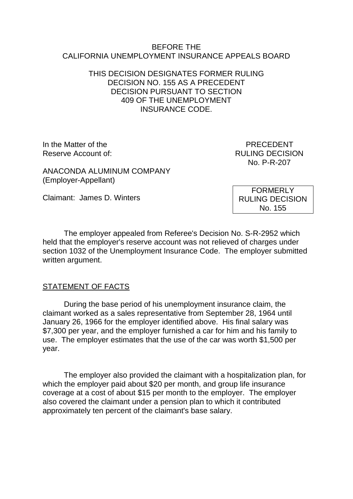### BEFORE THE CALIFORNIA UNEMPLOYMENT INSURANCE APPEALS BOARD

## THIS DECISION DESIGNATES FORMER RULING DECISION NO. 155 AS A PRECEDENT DECISION PURSUANT TO SECTION 409 OF THE UNEMPLOYMENT INSURANCE CODE.

In the Matter of the **PRECEDENT** Reserve Account of: The Country of the Country of the RULING DECISION

No. P-R-207

ANACONDA ALUMINUM COMPANY (Employer-Appellant)

Claimant: James D. Winters

The employer appealed from Referee's Decision No. S-R-2952 which held that the employer's reserve account was not relieved of charges under section 1032 of the Unemployment Insurance Code. The employer submitted

## STATEMENT OF FACTS

written argument.

During the base period of his unemployment insurance claim, the claimant worked as a sales representative from September 28, 1964 until January 26, 1966 for the employer identified above. His final salary was \$7,300 per year, and the employer furnished a car for him and his family to use. The employer estimates that the use of the car was worth \$1,500 per year.

The employer also provided the claimant with a hospitalization plan, for which the employer paid about \$20 per month, and group life insurance coverage at a cost of about \$15 per month to the employer. The employer also covered the claimant under a pension plan to which it contributed approximately ten percent of the claimant's base salary.

FORMERLY RULING DECISION No. 155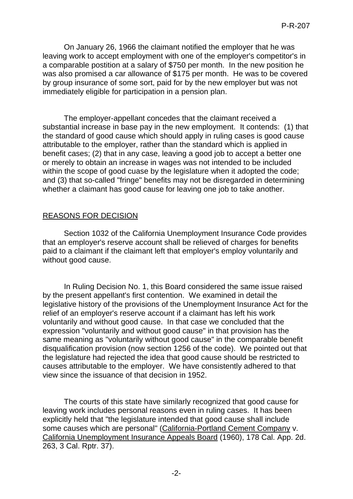On January 26, 1966 the claimant notified the employer that he was leaving work to accept employment with one of the employer's competitor's in a comparable postition at a salary of \$750 per month. In the new position he was also promised a car allowance of \$175 per month. He was to be covered by group insurance of some sort, paid for by the new employer but was not immediately eligible for participation in a pension plan.

The employer-appellant concedes that the claimant received a substantial increase in base pay in the new employment. It contends: (1) that the standard of good cause which should apply in ruling cases is good cause attributable to the employer, rather than the standard which is applied in benefit cases; (2) that in any case, leaving a good job to accept a better one or merely to obtain an increase in wages was not intended to be included within the scope of good cuase by the legislature when it adopted the code; and (3) that so-called "fringe" benefits may not be disregarded in determining whether a claimant has good cause for leaving one job to take another.

# REASONS FOR DECISION

Section 1032 of the California Unemployment Insurance Code provides that an employer's reserve account shall be relieved of charges for benefits paid to a claimant if the claimant left that employer's employ voluntarily and without good cause.

In Ruling Decision No. 1, this Board considered the same issue raised by the present appellant's first contention. We examined in detail the legislative history of the provisions of the Unemployment Insurance Act for the relief of an employer's reserve account if a claimant has left his work voluntarily and without good cause. In that case we concluded that the expression "voluntarily and without good cause" in that provision has the same meaning as "voluntarily without good cause" in the comparable benefit disqualification provision (now section 1256 of the code). We pointed out that the legislature had rejected the idea that good cause should be restricted to causes attributable to the employer. We have consistently adhered to that view since the issuance of that decision in 1952.

The courts of this state have similarly recognized that good cause for leaving work includes personal reasons even in ruling cases. It has been explicitly held that "the legislature intended that good cause shall include some causes which are personal" (California-Portland Cement Company v. California Unemployment Insurance Appeals Board (1960), 178 Cal. App. 2d. 263, 3 Cal. Rptr. 37).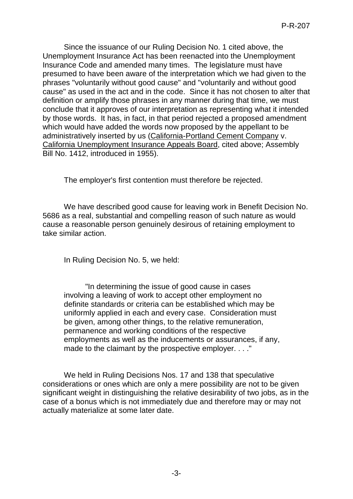Since the issuance of our Ruling Decision No. 1 cited above, the Unemployment Insurance Act has been reenacted into the Unemployment Insurance Code and amended many times. The legislature must have presumed to have been aware of the interpretation which we had given to the phrases "voluntarily without good cause" and "voluntarily and without good cause" as used in the act and in the code. Since it has not chosen to alter that definition or amplify those phrases in any manner during that time, we must conclude that it approves of our interpretation as representing what it intended by those words. It has, in fact, in that period rejected a proposed amendment which would have added the words now proposed by the appellant to be administratively inserted by us (California-Portland Cement Company v. California Unemployment Insurance Appeals Board, cited above; Assembly Bill No. 1412, introduced in 1955).

The employer's first contention must therefore be rejected.

We have described good cause for leaving work in Benefit Decision No. 5686 as a real, substantial and compelling reason of such nature as would cause a reasonable person genuinely desirous of retaining employment to take similar action.

In Ruling Decision No. 5, we held:

"In determining the issue of good cause in cases involving a leaving of work to accept other employment no definite standards or criteria can be established which may be uniformly applied in each and every case. Consideration must be given, among other things, to the relative remuneration, permanence and working conditions of the respective employments as well as the inducements or assurances, if any, made to the claimant by the prospective employer. . . ."

We held in Ruling Decisions Nos. 17 and 138 that speculative considerations or ones which are only a mere possibility are not to be given significant weight in distinguishing the relative desirability of two jobs, as in the case of a bonus which is not immediately due and therefore may or may not actually materialize at some later date.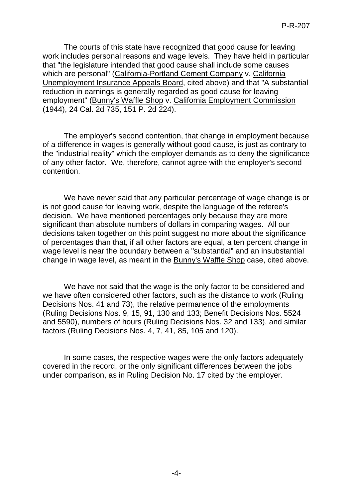The courts of this state have recognized that good cause for leaving work includes personal reasons and wage levels. They have held in particular that "the legislature intended that good cause shall include some causes which are personal" (California-Portland Cement Company v. California Unemployment Insurance Appeals Board, cited above) and that "A substantial reduction in earnings is generally regarded as good cause for leaving employment" (Bunny's Waffle Shop v. California Employment Commission (1944), 24 Cal. 2d 735, 151 P. 2d 224).

The employer's second contention, that change in employment because of a difference in wages is generally without good cause, is just as contrary to the "industrial reality" which the employer demands as to deny the significance of any other factor. We, therefore, cannot agree with the employer's second contention.

We have never said that any particular percentage of wage change is or is not good cause for leaving work, despite the language of the referee's decision. We have mentioned percentages only because they are more significant than absolute numbers of dollars in comparing wages. All our decisions taken together on this point suggest no more about the significance of percentages than that, if all other factors are equal, a ten percent change in wage level is near the boundary between a "substantial" and an insubstantial change in wage level, as meant in the Bunny's Waffle Shop case, cited above.

We have not said that the wage is the only factor to be considered and we have often considered other factors, such as the distance to work (Ruling Decisions Nos. 41 and 73), the relative permanence of the employments (Ruling Decisions Nos. 9, 15, 91, 130 and 133; Benefit Decisions Nos. 5524 and 5590), numbers of hours (Ruling Decisions Nos. 32 and 133), and similar factors (Ruling Decisions Nos. 4, 7, 41, 85, 105 and 120).

In some cases, the respective wages were the only factors adequately covered in the record, or the only significant differences between the jobs under comparison, as in Ruling Decision No. 17 cited by the employer.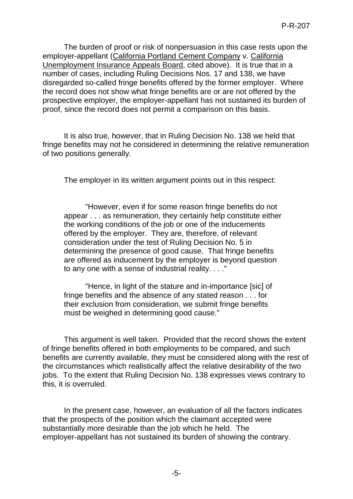The burden of proof or risk of nonpersuasion in this case rests upon the employer-appellant (California Portland Cement Company v. California Unemployment Insurance Appeals Board, cited above). It is true that in a number of cases, including Ruling Decisions Nos. 17 and 138, we have disregarded so-called fringe benefits offered by the former employer. Where the record does not show what fringe benefits are or are not offered by the prospective employer, the employer-appellant has not sustained its burden of proof, since the record does not permit a comparison on this basis.

It is also true, however, that in Ruling Decision No. 138 we held that fringe benefits may not he considered in determining the relative remuneration of two positions generally.

The employer in its written argument points out in this respect:

"However, even if for some reason fringe benefits do not appear . . . as remuneration, they certainly help constitute either the working conditions of the job or one of the inducements offered by the employer. They are, therefore, of relevant consideration under the test of Ruling Decision No. 5 in determining the presence of good cause. That fringe benefits are offered as inducement by the employer is beyond question to any one with a sense of industrial reality. . . ."

"Hence, in light of the stature and in-importance [sic] of fringe benefits and the absence of any stated reason . . . for their exclusion from consideration, we submit fringe benefits must be weighed in determining good cause."

This argument is well taken. Provided that the record shows the extent of fringe benefits offered in both employments to be compared, and such benefits are currently available, they must be considered along with the rest of the circumstances which realistically affect the relative desirability of the two jobs. To the extent that Ruling Decision No. 138 expresses views contrary to this, it is overruled.

In the present case, however, an evaluation of all the factors indicates that the prospects of the position which the claimant accepted were substantially more desirable than the job which he held. The employer-appellant has not sustained its burden of showing the contrary.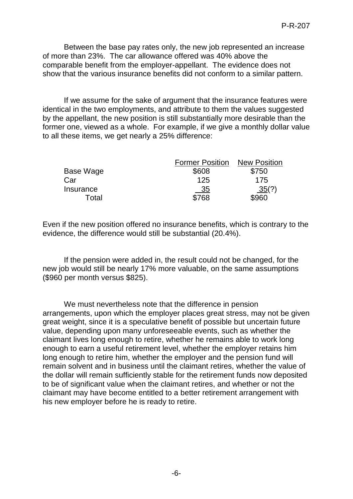Between the base pay rates only, the new job represented an increase of more than 23%. The car allowance offered was 40% above the comparable benefit from the employer-appellant. The evidence does not show that the various insurance benefits did not conform to a similar pattern.

If we assume for the sake of argument that the insurance features were identical in the two employments, and attribute to them the values suggested by the appellant, the new position is still substantially more desirable than the former one, viewed as a whole. For example, if we give a monthly dollar value to all these items, we get nearly a 25% difference:

|           | <b>Former Position</b> | <b>New Position</b> |
|-----------|------------------------|---------------------|
| Base Wage | \$608                  | \$750               |
| Car       | 125                    | 175                 |
| Insurance | 35                     | 35(?)               |
| Total     | \$768                  | \$960               |

Even if the new position offered no insurance benefits, which is contrary to the evidence, the difference would still be substantial (20.4%).

If the pension were added in, the result could not be changed, for the new job would still be nearly 17% more valuable, on the same assumptions (\$960 per month versus \$825).

We must nevertheless note that the difference in pension arrangements, upon which the employer places great stress, may not be given great weight, since it is a speculative benefit of possible but uncertain future value, depending upon many unforeseeable events, such as whether the claimant lives long enough to retire, whether he remains able to work long enough to earn a useful retirement level, whether the employer retains him long enough to retire him, whether the employer and the pension fund will remain solvent and in business until the claimant retires, whether the value of the dollar will remain sufficiently stable for the retirement funds now deposited to be of significant value when the claimant retires, and whether or not the claimant may have become entitled to a better retirement arrangement with his new employer before he is ready to retire.